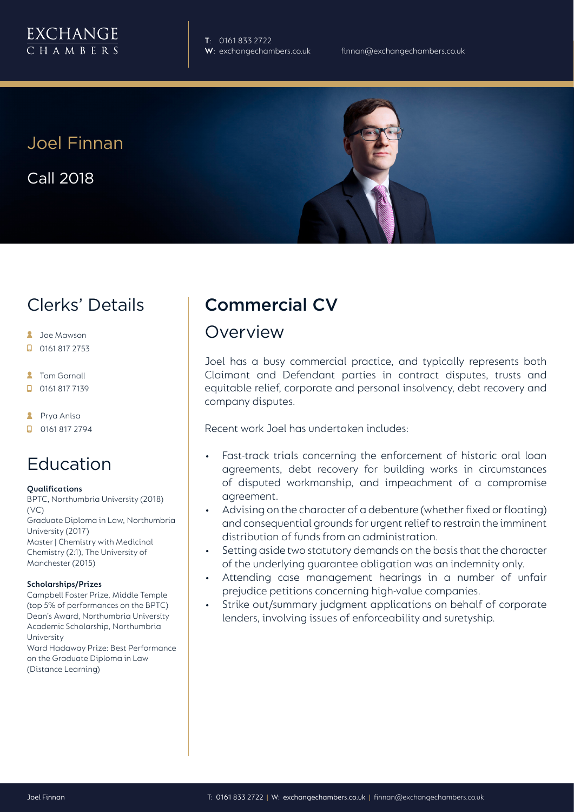

**T**: 0161 833 2722

Joel Finnan Call 2018



### Clerks' Details

- **2** Joe Mawson
- $\Box$  0161 817 2753
- **2** Tom Gornall
- 0161 817 7139
- **A** Prya Anisa
- **D** 0161 817 2794

#### Education

#### **Qualifications**

BPTC, Northumbria University (2018) (VC) Graduate Diploma in Law, Northumbria University (2017) Master | Chemistry with Medicinal Chemistry (2:1), The University of Manchester (2015)

#### **Scholarships/Prizes**

Campbell Foster Prize, Middle Temple (top 5% of performances on the BPTC) Dean's Award, Northumbria University Academic Scholarship, Northumbria University

Ward Hadaway Prize: Best Performance on the Graduate Diploma in Law (Distance Learning)

### Commercial CV

#### Overview

Joel has a busy commercial practice, and typically represents both Claimant and Defendant parties in contract disputes, trusts and equitable relief, corporate and personal insolvency, debt recovery and company disputes.

Recent work Joel has undertaken includes:

- Fast-track trials concerning the enforcement of historic oral loan agreements, debt recovery for building works in circumstances of disputed workmanship, and impeachment of a compromise agreement.
- Advising on the character of a debenture (whether fixed or floating) and consequential grounds for urgent relief to restrain the imminent distribution of funds from an administration.
- Setting aside two statutory demands on the basis that the character of the underlying guarantee obligation was an indemnity only.
- Attending case management hearings in a number of unfair prejudice petitions concerning high-value companies.
- Strike out/summary judgment applications on behalf of corporate lenders, involving issues of enforceability and suretyship.